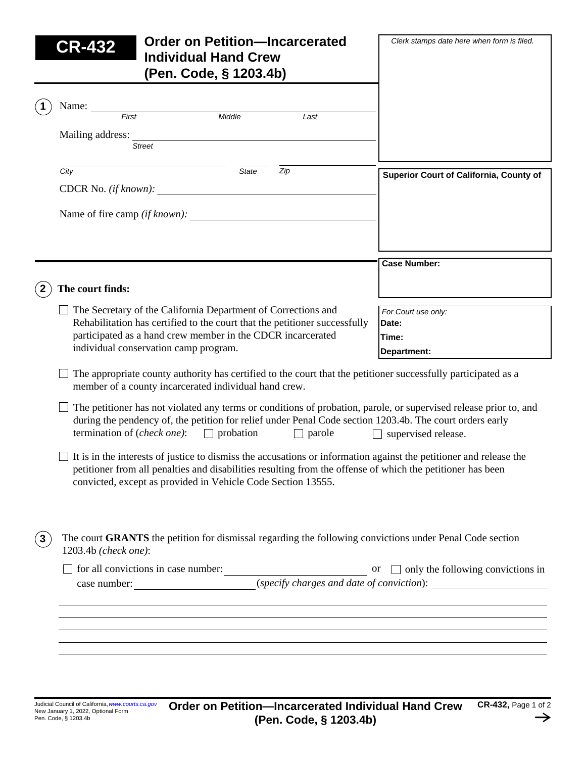|              | <b>Order on Petition-Incarcerated</b><br>CR-432<br><b>Individual Hand Crew</b><br>(Pen. Code, § 1203.4b)                                                                                                                                                                                                | Clerk stamps date here when form is filed.           |  |  |  |  |
|--------------|---------------------------------------------------------------------------------------------------------------------------------------------------------------------------------------------------------------------------------------------------------------------------------------------------------|------------------------------------------------------|--|--|--|--|
|              | Name:                                                                                                                                                                                                                                                                                                   |                                                      |  |  |  |  |
|              | $\frac{1}{First}$<br>Middle<br>Last                                                                                                                                                                                                                                                                     |                                                      |  |  |  |  |
|              | Mailing address:<br><b>Street</b>                                                                                                                                                                                                                                                                       |                                                      |  |  |  |  |
|              | Zip<br>City<br>State                                                                                                                                                                                                                                                                                    | Superior Court of California, County of              |  |  |  |  |
|              | CDCR No. $(if known):$                                                                                                                                                                                                                                                                                  |                                                      |  |  |  |  |
|              | Name of fire camp <i>(if known)</i> :                                                                                                                                                                                                                                                                   |                                                      |  |  |  |  |
|              |                                                                                                                                                                                                                                                                                                         | <b>Case Number:</b>                                  |  |  |  |  |
|              | The court finds:                                                                                                                                                                                                                                                                                        |                                                      |  |  |  |  |
|              | The Secretary of the California Department of Corrections and<br>Rehabilitation has certified to the court that the petitioner successfully<br>participated as a hand crew member in the CDCR incarcerated<br>individual conservation camp program.                                                     | For Court use only:<br>Date:<br>Time:<br>Department: |  |  |  |  |
|              | The appropriate county authority has certified to the court that the petitioner successfully participated as a<br>member of a county incarcerated individual hand crew.                                                                                                                                 |                                                      |  |  |  |  |
|              | The petitioner has not violated any terms or conditions of probation, parole, or supervised release prior to, and<br>during the pendency of, the petition for relief under Penal Code section 1203.4b. The court orders early<br>termination of ( <i>check one</i> ): $\Box$ probation<br>$\Box$ parole | $\Box$ supervised release.                           |  |  |  |  |
|              | $\Box$ It is in the interests of justice to dismiss the accusations or information against the petitioner and release the<br>petitioner from all penalties and disabilities resulting from the offense of which the petitioner has been<br>convicted, except as provided in Vehicle Code Section 13555. |                                                      |  |  |  |  |
| $\mathbf{3}$ | The court GRANTS the petition for dismissal regarding the following convictions under Penal Code section<br>1203.4b (check one):                                                                                                                                                                        |                                                      |  |  |  |  |
|              | $\Box$ for all convictions in case number:<br>$\Box$ only the following convictions in<br>case number: $\Box$ ( <i>specify charges and date of conviction</i> ):                                                                                                                                        |                                                      |  |  |  |  |
|              |                                                                                                                                                                                                                                                                                                         |                                                      |  |  |  |  |
|              |                                                                                                                                                                                                                                                                                                         |                                                      |  |  |  |  |
|              |                                                                                                                                                                                                                                                                                                         |                                                      |  |  |  |  |